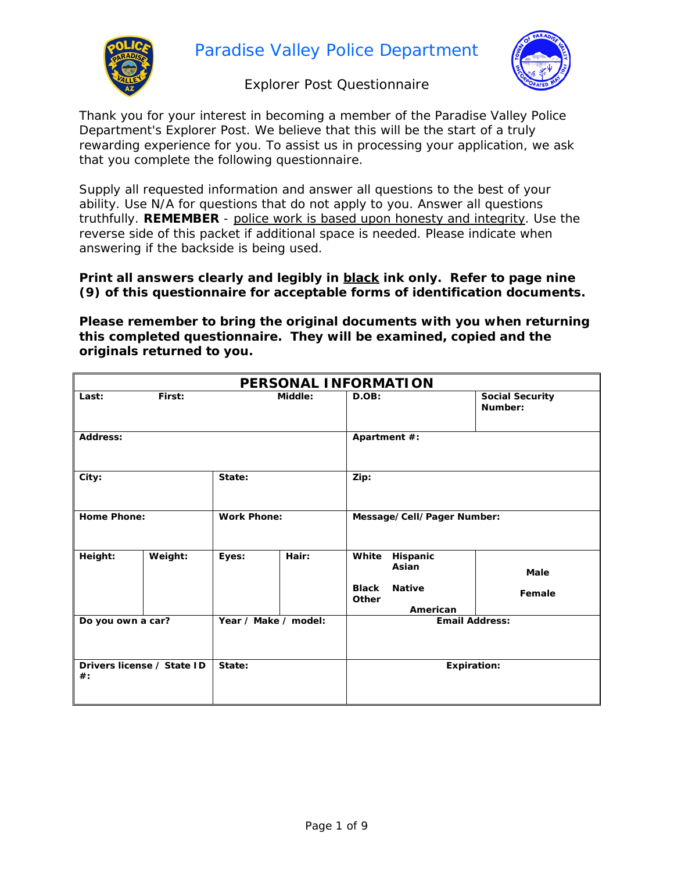

Paradise Valley Police Department

#### Explorer Post Questionnaire

Thank you for your interest in becoming a member of the Paradise Valley Police Department's Explorer Post. We believe that this will be the start of a truly rewarding experience for you. To assist us in processing your application, we ask that you complete the following questionnaire.

Supply all requested information and answer all questions to the best of your ability. Use N/A for questions that do not apply to you. Answer all questions truthfully. **REMEMBER** - *police work is based upon honesty and integrity*. Use the reverse side of this packet if additional space is needed. Please indicate when answering if the backside is being used.

**Print all answers clearly and legibly in black ink only. Refer to page nine (9) of this questionnaire for acceptable forms of identification documents.**

**Please remember to bring the original documents with you when returning this completed questionnaire. They will be examined, copied and the originals returned to you.**

| PERSONAL INFORMATION                 |         |                      |         |                            |                                    |                                   |
|--------------------------------------|---------|----------------------|---------|----------------------------|------------------------------------|-----------------------------------|
| Last:                                | First:  |                      | Middle: | D.OB:                      |                                    | <b>Social Security</b><br>Number: |
| Address:                             |         |                      |         | Apartment #:               |                                    |                                   |
| City:                                |         | State:               |         | Zip:                       |                                    |                                   |
| <b>Home Phone:</b>                   |         | <b>Work Phone:</b>   |         | Message/Cell/Pager Number: |                                    |                                   |
| Height:                              | Weight: | Eyes:                | Hair:   | White<br><b>Black</b>      | Hispanic<br>Asian<br><b>Native</b> | Male                              |
|                                      |         |                      |         | Other                      | American                           | Female                            |
| Do you own a car?                    |         | Year / Make / model: |         | <b>Email Address:</b>      |                                    |                                   |
| Drivers license / State ID<br>$\#$ : |         | State:               |         | <b>Expiration:</b>         |                                    |                                   |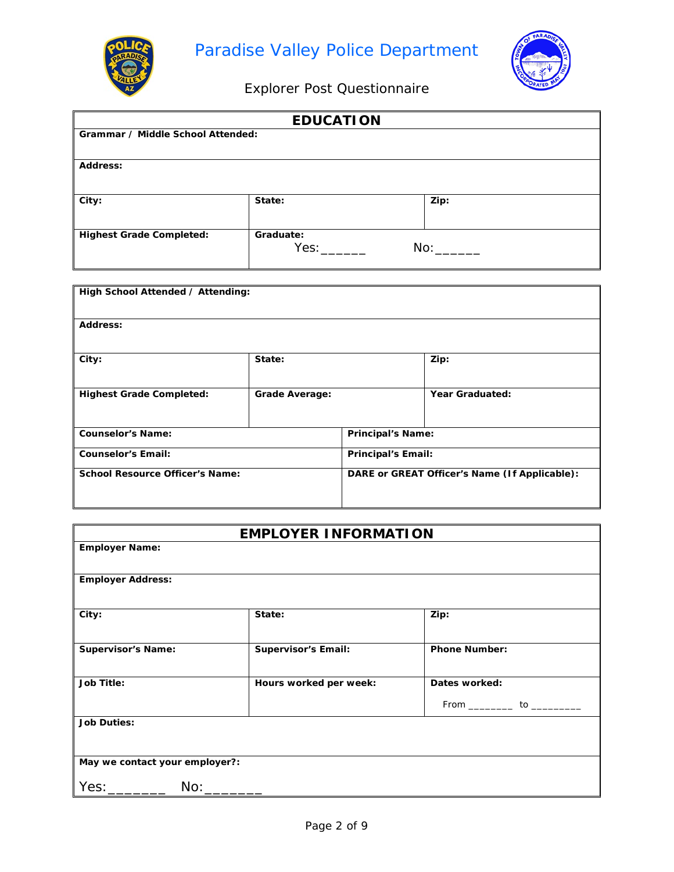

Г



Explorer Post Questionnaire

|                                   | <b>EDUCATION</b> |      |
|-----------------------------------|------------------|------|
| Grammar / Middle School Attended: |                  |      |
|                                   |                  |      |
| <b>Address:</b>                   |                  |      |
|                                   |                  |      |
| City:                             | State:           | Zip: |
|                                   |                  |      |
| <b>Highest Grade Completed:</b>   | Graduate:        |      |
|                                   | Yes:             | No:  |
|                                   |                  |      |

| High School Attended / Attending:      |                       |                           |                                               |  |
|----------------------------------------|-----------------------|---------------------------|-----------------------------------------------|--|
|                                        |                       |                           |                                               |  |
| Address:                               |                       |                           |                                               |  |
|                                        |                       |                           |                                               |  |
|                                        |                       |                           |                                               |  |
| City:                                  | State:                |                           | Zip:                                          |  |
|                                        |                       |                           |                                               |  |
| <b>Highest Grade Completed:</b>        | <b>Grade Average:</b> |                           | <b>Year Graduated:</b>                        |  |
|                                        |                       |                           |                                               |  |
|                                        |                       |                           |                                               |  |
| <b>Counselor's Name:</b>               |                       | <b>Principal's Name:</b>  |                                               |  |
| <b>Counselor's Email:</b>              |                       | <b>Principal's Email:</b> |                                               |  |
|                                        |                       |                           |                                               |  |
| <b>School Resource Officer's Name:</b> |                       |                           | DARE or GREAT Officer's Name (If Applicable): |  |
|                                        |                       |                           |                                               |  |
|                                        |                       |                           |                                               |  |

#### **EMPLOYER INFORMATION**

| <b>Employer Name:</b>          |                            |                                   |
|--------------------------------|----------------------------|-----------------------------------|
| <b>Employer Address:</b>       |                            |                                   |
| City:                          | State:                     | Zip:                              |
| <b>Supervisor's Name:</b>      | <b>Supervisor's Email:</b> | <b>Phone Number:</b>              |
| <b>Job Title:</b>              | Hours worked per week:     | Dates worked:                     |
|                                |                            | From _____________ to ___________ |
| <b>Job Duties:</b>             |                            |                                   |
|                                |                            |                                   |
| May we contact your employer?: |                            |                                   |
| Yes: ____________ No: _______  |                            |                                   |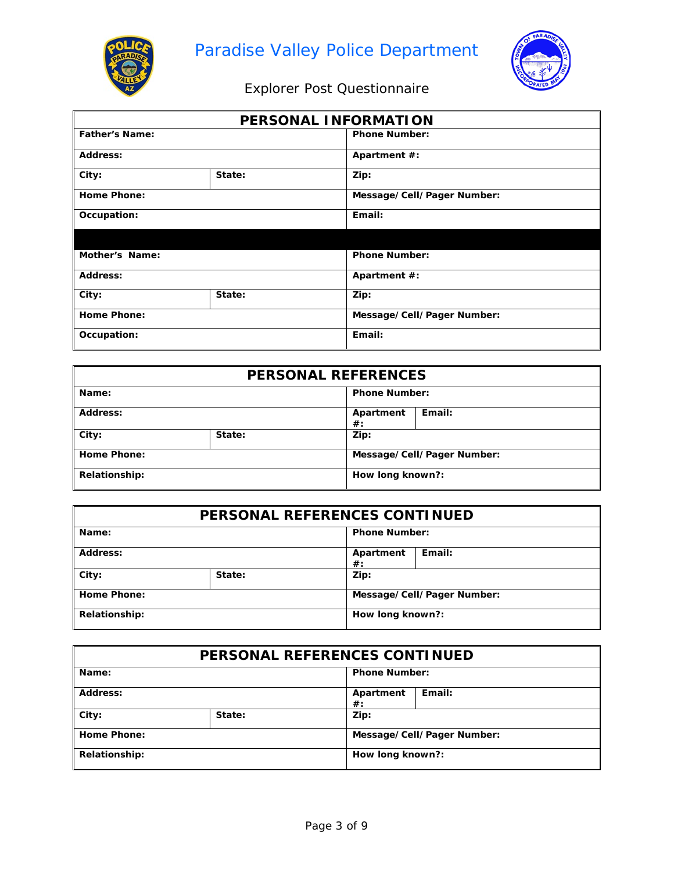



| PERSONAL INFORMATION  |        |                            |  |  |
|-----------------------|--------|----------------------------|--|--|
| <b>Father's Name:</b> |        | <b>Phone Number:</b>       |  |  |
| Address:              |        | Apartment #:               |  |  |
| City:                 | State: | Zip:                       |  |  |
| <b>Home Phone:</b>    |        | Message/Cell/Pager Number: |  |  |
| Occupation:           |        | Email:                     |  |  |
|                       |        |                            |  |  |
| Mother's Name:        |        | <b>Phone Number:</b>       |  |  |
| Address:              |        | Apartment #:               |  |  |
| State:<br>City:       |        | Zip:                       |  |  |
| <b>Home Phone:</b>    |        | Message/Cell/Pager Number: |  |  |
| Occupation:           |        | Email:                     |  |  |

| <b>PERSONAL REFERENCES</b> |        |                      |                            |  |
|----------------------------|--------|----------------------|----------------------------|--|
| Name:                      |        | <b>Phone Number:</b> |                            |  |
| <b>Address:</b>            |        | Apartment<br>$\#$ :  | Email:                     |  |
| City:                      | State: | Zip:                 |                            |  |
| Home Phone:                |        |                      | Message/Cell/Pager Number: |  |
| Relationship:              |        | How long known?:     |                            |  |

| PERSONAL REFERENCES CONTINUED |        |                            |        |
|-------------------------------|--------|----------------------------|--------|
| Name:                         |        | <b>Phone Number:</b>       |        |
| Address:                      |        | Apartment<br>$\#$ :        | Email: |
| $\vert$ City:                 | State: | Zip:                       |        |
| Home Phone:                   |        | Message/Cell/Pager Number: |        |
| <b>Relationship:</b>          |        | How long known?:           |        |

| PERSONAL REFERENCES CONTINUED |        |                            |        |
|-------------------------------|--------|----------------------------|--------|
| Name:                         |        | <b>Phone Number:</b>       |        |
| <b>Address:</b>               |        | Apartment<br>$\#$ :        | Email: |
| $\vert$ City:                 | State: | Zip:                       |        |
| Home Phone:                   |        | Message/Cell/Pager Number: |        |
| <b>Relationship:</b>          |        | How long known?:           |        |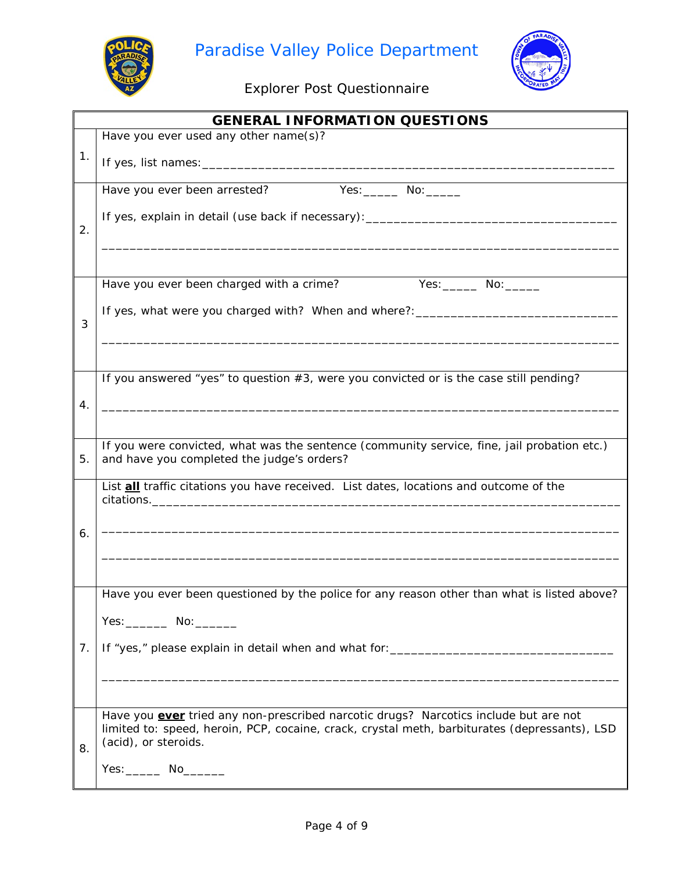



|    | <b>GENERAL INFORMATION QUESTIONS</b>                                                          |
|----|-----------------------------------------------------------------------------------------------|
|    | Have you ever used any other name(s)?                                                         |
| 1. |                                                                                               |
|    | Yes: _______ No: ______<br>Have you ever been arrested?                                       |
|    | If yes, explain in detail (use back if necessary): _____________________________              |
| 2. |                                                                                               |
|    |                                                                                               |
|    | Yes: ________ No: _______<br>Have you ever been charged with a crime?                         |
|    |                                                                                               |
| 3  | If yes, what were you charged with? When and where?: ___________________________              |
|    |                                                                                               |
|    |                                                                                               |
|    | If you answered "yes" to question $#3$ , were you convicted or is the case still pending?     |
| 4. |                                                                                               |
|    |                                                                                               |
|    | If you were convicted, what was the sentence (community service, fine, jail probation etc.)   |
| 5. | and have you completed the judge's orders?                                                    |
|    | List <b>all</b> traffic citations you have received. List dates, locations and outcome of the |
|    |                                                                                               |
| 6. |                                                                                               |
|    |                                                                                               |
|    |                                                                                               |
|    | Have you ever been questioned by the police for any reason other than what is listed above?   |
|    | Yes: No: __________ No:                                                                       |
| 7. |                                                                                               |
|    |                                                                                               |
|    |                                                                                               |
|    | Have you ever tried any non-prescribed narcotic drugs? Narcotics include but are not          |
|    | limited to: speed, heroin, PCP, cocaine, crack, crystal meth, barbiturates (depressants), LSD |
| 8. | (acid), or steroids.                                                                          |
|    | Yes: No                                                                                       |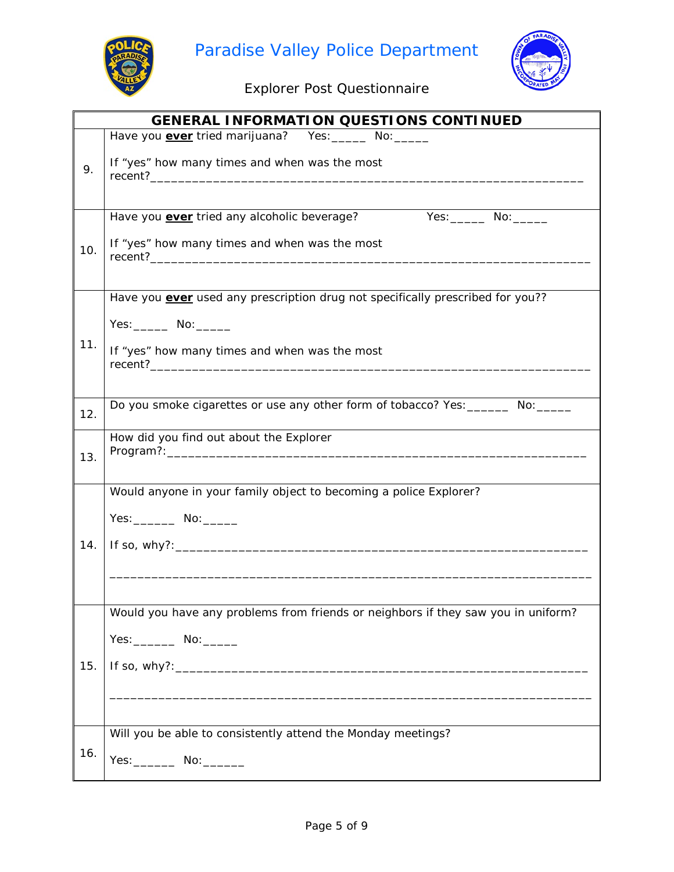



|     | <b>GENERAL INFORMATION QUESTIONS CONTINUED</b>                                    |
|-----|-----------------------------------------------------------------------------------|
|     | Have you <b>ever</b> tried marijuana? Yes: ______ No: _____                       |
| 9.  | If "yes" how many times and when was the most                                     |
|     |                                                                                   |
|     | Have you <b>ever</b> tried any alcoholic beverage?<br>Yes: _______ No: ______     |
| 10. | If "yes" how many times and when was the most                                     |
|     | Have you ever used any prescription drug not specifically prescribed for you??    |
|     | Yes: _______ No: ______                                                           |
| 11. | If "yes" how many times and when was the most                                     |
| 12. | Do you smoke cigarettes or use any other form of tobacco? Yes: _______ No: _____  |
| 13. | How did you find out about the Explorer                                           |
|     | Would anyone in your family object to becoming a police Explorer?                 |
|     | Yes: ________ No: ______                                                          |
| 14. |                                                                                   |
|     |                                                                                   |
|     |                                                                                   |
|     | Would you have any problems from friends or neighbors if they saw you in uniform? |
|     | Yes: ________ No: ______                                                          |
| 15. |                                                                                   |
|     |                                                                                   |
|     |                                                                                   |
| 16. | Will you be able to consistently attend the Monday meetings?                      |
|     | Yes: No: __________ No: ________                                                  |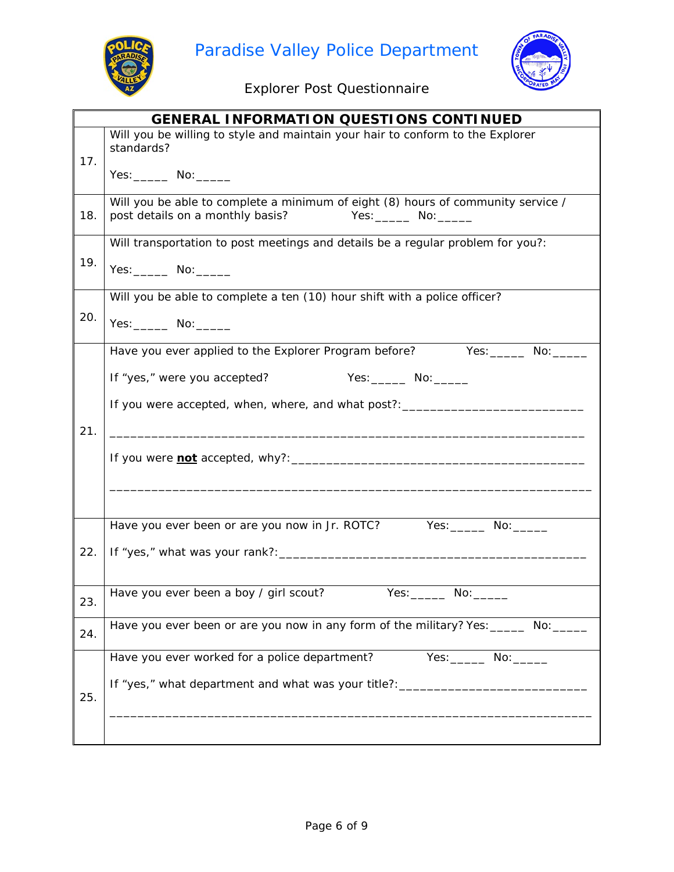



|     | <b>GENERAL INFORMATION QUESTIONS CONTINUED</b>                                                                       |
|-----|----------------------------------------------------------------------------------------------------------------------|
| 17. | Will you be willing to style and maintain your hair to conform to the Explorer<br>standards?                         |
|     | Yes: _______ No: ______                                                                                              |
| 18. | Will you be able to complete a minimum of eight (8) hours of community service /<br>post details on a monthly basis? |
|     | Will transportation to post meetings and details be a regular problem for you?:                                      |
| 19. | Yes: No: ________ No:                                                                                                |
|     | Will you be able to complete a ten (10) hour shift with a police officer?                                            |
| 20. | Yes: No: _______                                                                                                     |
|     | Have you ever applied to the Explorer Program before?<br>Yes: No:                                                    |
|     | Yes: ________ No: ______<br>If "yes," were you accepted?                                                             |
|     | If you were accepted, when, where, and what post?: _____________________________                                     |
| 21. |                                                                                                                      |
|     |                                                                                                                      |
|     |                                                                                                                      |
|     | Have you ever been or are you now in Jr. ROTC? Yes: ______ No: ___                                                   |
| 22. |                                                                                                                      |
|     |                                                                                                                      |
| 23. | Have you ever been a boy / girl scout?<br>Yes:                                                                       |
| 24. | Have you ever been or are you now in any form of the military? Yes: ______ No: ___                                   |
|     | Have you ever worked for a police department?                                                                        |
| 25. | If "yes," what department and what was your title?: ____________________________                                     |
|     |                                                                                                                      |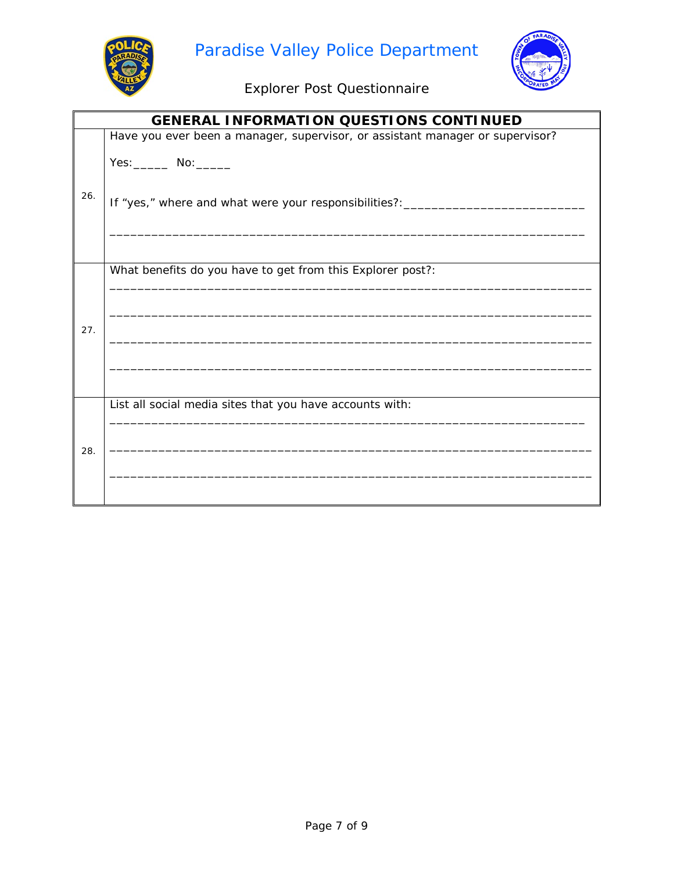



|     | <b>GENERAL INFORMATION QUESTIONS CONTINUED</b>                                |
|-----|-------------------------------------------------------------------------------|
|     | Have you ever been a manager, supervisor, or assistant manager or supervisor? |
| 26. | Yes: _______ No: ______                                                       |
|     | If "yes," where and what were your responsibilities?:_                        |
|     |                                                                               |
|     | What benefits do you have to get from this Explorer post?:                    |
|     |                                                                               |
| 27. |                                                                               |
|     |                                                                               |
|     |                                                                               |
|     | List all social media sites that you have accounts with:                      |
| 28. |                                                                               |
|     |                                                                               |
|     |                                                                               |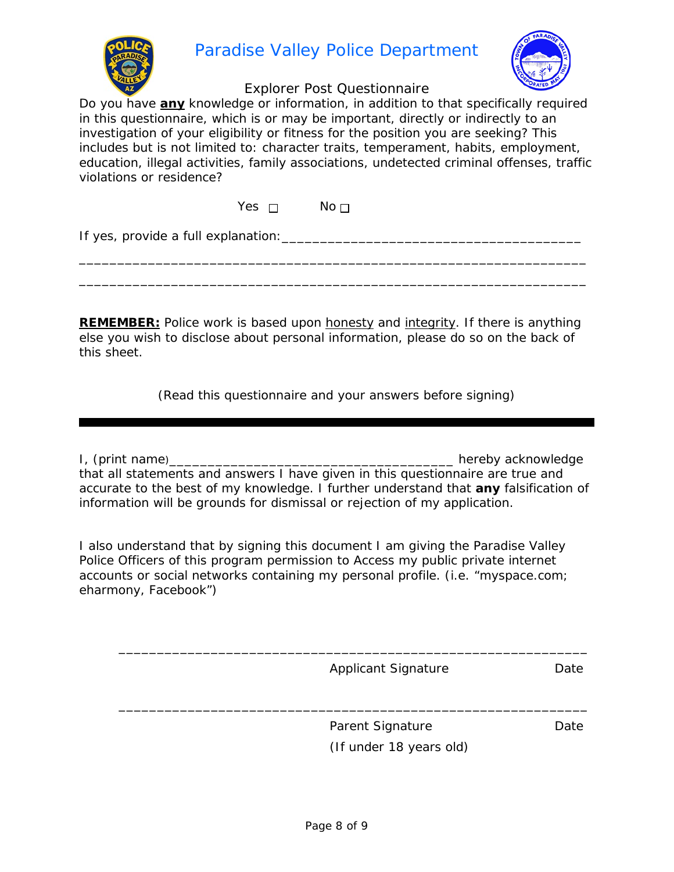

## Paradise Valley Police Department



#### Explorer Post Questionnaire

Do you have **any** knowledge or information, in addition to that specifically required in this questionnaire, which is or may be important, directly or indirectly to an investigation of your eligibility or fitness for the position you are seeking? This includes but is not limited to: character traits, temperament, habits, employment, education, illegal activities, family associations, undetected criminal offenses, traffic violations or residence?

Yes  $\Box$  No  $\Box$ 

If yes, provide a full explanation:\_\_\_\_\_\_\_\_\_\_\_\_\_\_\_\_\_\_\_\_\_\_\_\_\_\_\_\_\_\_\_\_\_\_\_\_\_\_\_

**REMEMBER:** Police work is based upon honesty and integrity. If there is *anything* else you wish to disclose about personal information, please do so on the back of this sheet.

\_\_\_\_\_\_\_\_\_\_\_\_\_\_\_\_\_\_\_\_\_\_\_\_\_\_\_\_\_\_\_\_\_\_\_\_\_\_\_\_\_\_\_\_\_\_\_\_\_\_\_\_\_\_\_\_\_\_\_\_\_\_\_\_\_\_ \_\_\_\_\_\_\_\_\_\_\_\_\_\_\_\_\_\_\_\_\_\_\_\_\_\_\_\_\_\_\_\_\_\_\_\_\_\_\_\_\_\_\_\_\_\_\_\_\_\_\_\_\_\_\_\_\_\_\_\_\_\_\_\_\_\_

(Read this questionnaire and your answers before signing)

I, (print name)\_\_\_\_\_\_\_\_\_\_\_\_\_\_\_\_\_\_\_\_\_\_\_\_\_\_\_\_\_\_\_\_\_\_\_\_\_ hereby acknowledge that all statements and answers I have given in this questionnaire are true and accurate to the best of my knowledge. I further understand that **any** falsification of information will be grounds for dismissal or rejection of my application.

I also understand that by signing this document I am giving the Paradise Valley Police Officers of this program permission to Access my public private internet accounts or social networks containing my personal profile. (i.e. "myspace.com; eharmony, Facebook")

Applicant Signature Date

\_\_\_\_\_\_\_\_\_\_\_\_\_\_\_\_\_\_\_\_\_\_\_\_\_\_\_\_\_\_\_\_\_\_\_\_\_\_\_\_\_\_\_\_\_\_\_\_\_\_\_\_\_\_\_\_\_\_\_\_\_

\_\_\_\_\_\_\_\_\_\_\_\_\_\_\_\_\_\_\_\_\_\_\_\_\_\_\_\_\_\_\_\_\_\_\_\_\_\_\_\_\_\_\_\_\_\_\_\_\_\_\_\_\_\_\_\_\_\_\_\_\_

Parent Signature **Date** Date (If under 18 years old)